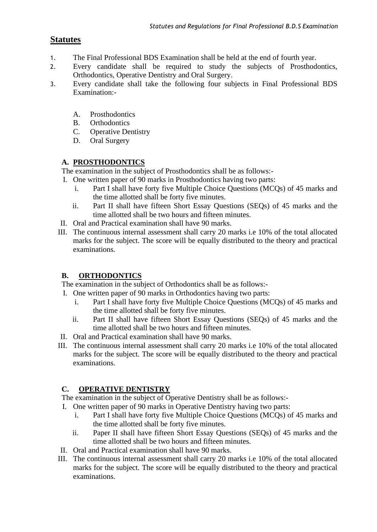# **Statutes**

- 1. The Final Professional BDS Examination shall be held at the end of fourth year.
- 2. Every candidate shall be required to study the subjects of Prosthodontics, Orthodontics, Operative Dentistry and Oral Surgery.
- 3. Every candidate shall take the following four subjects in Final Professional BDS Examination:-
	- A. Prosthodontics
	- B. Orthodontics
	- C. Operative Dentistry
	- D. Oral Surgery

### **A. PROSTHODONTICS**

The examination in the subject of Prosthodontics shall be as follows:-

- I. One written paper of 90 marks in Prosthodontics having two parts:
	- i. Part I shall have forty five Multiple Choice Questions (MCQs) of 45 marks and the time allotted shall be forty five minutes.
	- ii. Part II shall have fifteen Short Essay Questions (SEQs) of 45 marks and the time allotted shall be two hours and fifteen minutes.
- II. Oral and Practical examination shall have 90 marks.
- III. The continuous internal assessment shall carry 20 marks i.e 10% of the total allocated marks for the subject. The score will be equally distributed to the theory and practical examinations.

## **B. ORTHODONTICS**

The examination in the subject of Orthodontics shall be as follows:-

- I. One written paper of 90 marks in Orthodontics having two parts:
	- i. Part I shall have forty five Multiple Choice Questions (MCQs) of 45 marks and the time allotted shall be forty five minutes.
	- ii. Part II shall have fifteen Short Essay Questions (SEQs) of 45 marks and the time allotted shall be two hours and fifteen minutes.
- II. Oral and Practical examination shall have 90 marks.
- III. The continuous internal assessment shall carry 20 marks i.e 10% of the total allocated marks for the subject. The score will be equally distributed to the theory and practical examinations.

## **C. OPERATIVE DENTISTRY**

The examination in the subject of Operative Dentistry shall be as follows:-

- I. One written paper of 90 marks in Operative Dentistry having two parts:
	- i. Part I shall have forty five Multiple Choice Questions (MCQs) of 45 marks and the time allotted shall be forty five minutes.
	- ii. Paper II shall have fifteen Short Essay Questions (SEQs) of 45 marks and the time allotted shall be two hours and fifteen minutes.
- II. Oral and Practical examination shall have 90 marks.
- III. The continuous internal assessment shall carry 20 marks i.e 10% of the total allocated marks for the subject. The score will be equally distributed to the theory and practical examinations.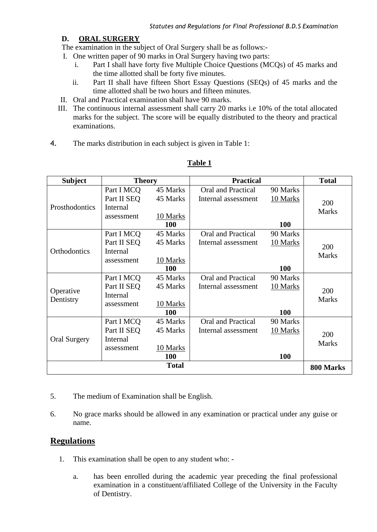#### **D. ORAL SURGERY**

The examination in the subject of Oral Surgery shall be as follows:-

- I. One written paper of 90 marks in Oral Surgery having two parts:
	- i. Part I shall have forty five Multiple Choice Questions (MCQs) of 45 marks and the time allotted shall be forty five minutes.
	- ii. Part II shall have fifteen Short Essay Questions (SEQs) of 45 marks and the time allotted shall be two hours and fifteen minutes.
- II. Oral and Practical examination shall have 90 marks.
- III. The continuous internal assessment shall carry 20 marks i.e 10% of the total allocated marks for the subject. The score will be equally distributed to the theory and practical examinations.
- 4. The marks distribution in each subject is given in Table 1:

| <b>Subject</b>         | <b>Theory</b>   |              | <b>Practical</b>          |            | <b>Total</b>        |
|------------------------|-----------------|--------------|---------------------------|------------|---------------------|
| Prosthodontics         | Part I MCQ      | 45 Marks     | <b>Oral and Practical</b> | 90 Marks   | 200                 |
|                        | Part II SEQ     | 45 Marks     | Internal assessment       | 10 Marks   |                     |
|                        | <b>Internal</b> |              |                           |            | <b>Marks</b>        |
|                        | assessment      | 10 Marks     |                           |            |                     |
|                        |                 | 100          |                           | 100        |                     |
| Orthodontics           | Part I MCQ      | 45 Marks     | <b>Oral and Practical</b> | 90 Marks   | 200<br><b>Marks</b> |
|                        | Part II SEQ     | 45 Marks     | Internal assessment       | 10 Marks   |                     |
|                        | Internal        |              |                           |            |                     |
|                        | assessment      | 10 Marks     |                           |            |                     |
|                        |                 | <b>100</b>   |                           | 100        |                     |
| Operative<br>Dentistry | Part I MCQ      | 45 Marks     | <b>Oral and Practical</b> | 90 Marks   | 200                 |
|                        | Part II SEQ     | 45 Marks     | Internal assessment       | 10 Marks   |                     |
|                        | Internal        |              |                           |            | <b>Marks</b>        |
|                        | assessment      | 10 Marks     |                           |            |                     |
|                        |                 | <b>100</b>   |                           | 100        |                     |
| <b>Oral Surgery</b>    | Part I MCQ      | 45 Marks     | <b>Oral and Practical</b> | 90 Marks   |                     |
|                        | Part II SEO     | 45 Marks     | Internal assessment       | 10 Marks   | 200                 |
|                        | Internal        |              |                           |            | <b>Marks</b>        |
|                        | assessment      | 10 Marks     |                           |            |                     |
|                        |                 | 100          |                           | <b>100</b> |                     |
|                        |                 | <b>Total</b> |                           |            | 800 Marks           |

### **Table 1**

- 5. The medium of Examination shall be English.
- 6. No grace marks should be allowed in any examination or practical under any guise or name.

### **Regulations**

- 1. This examination shall be open to any student who:
	- a. has been enrolled during the academic year preceding the final professional examination in a constituent/affiliated College of the University in the Faculty of Dentistry.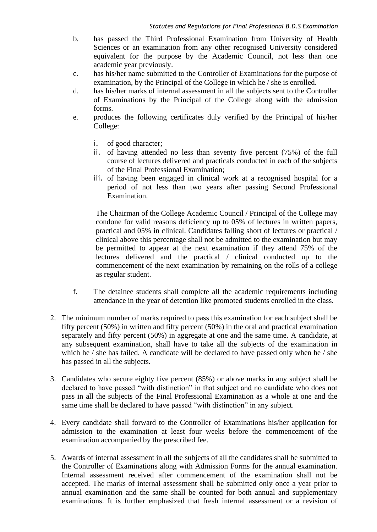- b. has passed the Third Professional Examination from University of Health Sciences or an examination from any other recognised University considered equivalent for the purpose by the Academic Council, not less than one academic year previously.
- c. has his/her name submitted to the Controller of Examinations for the purpose of examination, by the Principal of the College in which he / she is enrolled.
- d. has his/her marks of internal assessment in all the subjects sent to the Controller of Examinations by the Principal of the College along with the admission forms.
- e. produces the following certificates duly verified by the Principal of his/her College:
	- i. of good character;
	- ii. of having attended no less than seventy five percent (75%) of the full course of lectures delivered and practicals conducted in each of the subjects of the Final Professional Examination;
	- iii. of having been engaged in clinical work at a recognised hospital for a period of not less than two years after passing Second Professional Examination.

The Chairman of the College Academic Council / Principal of the College may condone for valid reasons deficiency up to 05% of lectures in written papers, practical and 05% in clinical. Candidates falling short of lectures or practical / clinical above this percentage shall not be admitted to the examination but may be permitted to appear at the next examination if they attend 75% of the lectures delivered and the practical / clinical conducted up to the commencement of the next examination by remaining on the rolls of a college as regular student.

- f. The detainee students shall complete all the academic requirements including attendance in the year of detention like promoted students enrolled in the class.
- 2. The minimum number of marks required to pass this examination for each subject shall be fifty percent (50%) in written and fifty percent (50%) in the oral and practical examination separately and fifty percent (50%) in aggregate at one and the same time. A candidate, at any subsequent examination, shall have to take all the subjects of the examination in which he / she has failed. A candidate will be declared to have passed only when he / she has passed in all the subjects.
- 3. Candidates who secure eighty five percent (85%) or above marks in any subject shall be declared to have passed "with distinction" in that subject and no candidate who does not pass in all the subjects of the Final Professional Examination as a whole at one and the same time shall be declared to have passed "with distinction" in any subject.
- 4. Every candidate shall forward to the Controller of Examinations his/her application for admission to the examination at least four weeks before the commencement of the examination accompanied by the prescribed fee.
- 5. Awards of internal assessment in all the subjects of all the candidates shall be submitted to the Controller of Examinations along with Admission Forms for the annual examination. Internal assessment received after commencement of the examination shall not be accepted. The marks of internal assessment shall be submitted only once a year prior to annual examination and the same shall be counted for both annual and supplementary examinations. It is further emphasized that fresh internal assessment or a revision of